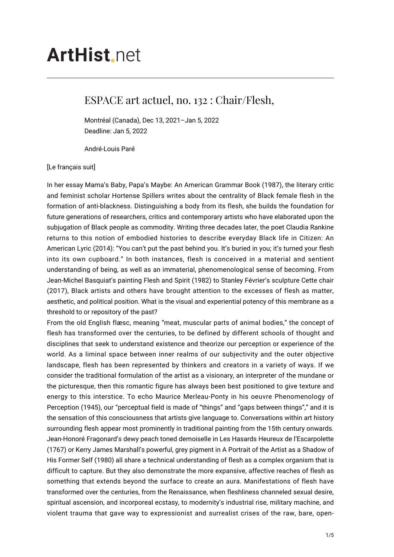## **ArtHist**, net

## ESPACE art actuel, no. 132 : Chair/Flesh,

Montréal (Canada), Dec 13, 2021–Jan 5, 2022 Deadline: Jan 5, 2022

André-Louis Paré

## [Le français suit]

In her essay Mama's Baby, Papa's Maybe: An American Grammar Book (1987), the literary critic and feminist scholar Hortense Spillers writes about the centrality of Black female flesh in the formation of anti-blackness. Distinguishing a body from its flesh, she builds the foundation for future generations of researchers, critics and contemporary artists who have elaborated upon the subjugation of Black people as commodity. Writing three decades later, the poet Claudia Rankine returns to this notion of embodied histories to describe everyday Black life in Citizen: An American Lyric (2014): "You can't put the past behind you. It's buried in you; it's turned your flesh into its own cupboard." In both instances, flesh is conceived in a material and sentient understanding of being, as well as an immaterial, phenomenological sense of becoming. From Jean-Michel Basquiat's painting Flesh and Spirit (1982) to Stanley Février's sculpture Cette chair (2017), Black artists and others have brought attention to the excesses of flesh as matter, aesthetic, and political position. What is the visual and experiential potency of this membrane as a threshold to or repository of the past?

From the old English flæsc, meaning "meat, muscular parts of animal bodies," the concept of flesh has transformed over the centuries, to be defined by different schools of thought and disciplines that seek to understand existence and theorize our perception or experience of the world. As a liminal space between inner realms of our subjectivity and the outer objective landscape, flesh has been represented by thinkers and creators in a variety of ways. If we consider the traditional formulation of the artist as a visionary, an interpreter of the mundane or the picturesque, then this romantic figure has always been best positioned to give texture and energy to this interstice. To echo Maurice Merleau-Ponty in his oeuvre Phenomenology of Perception (1945), our "perceptual field is made of "things" and "gaps between things"," and it is the sensation of this consciousness that artists give language to. Conversations within art history surrounding flesh appear most prominently in traditional painting from the 15th century onwards. Jean-Honoré Fragonard's dewy peach toned demoiselle in Les Hasards Heureux de l'Escarpolette (1767) or Kerry James Marshall's powerful, grey pigment in A Portrait of the Artist as a Shadow of His Former Self (1980) all share a technical understanding of flesh as a complex organism that is difficult to capture. But they also demonstrate the more expansive, affective reaches of flesh as something that extends beyond the surface to create an aura. Manifestations of flesh have transformed over the centuries, from the Renaissance, when fleshliness channeled sexual desire, spiritual ascension, and incorporeal ecstasy, to modernity's industrial rise, military machine, and violent trauma that gave way to expressionist and surrealist crises of the raw, bare, open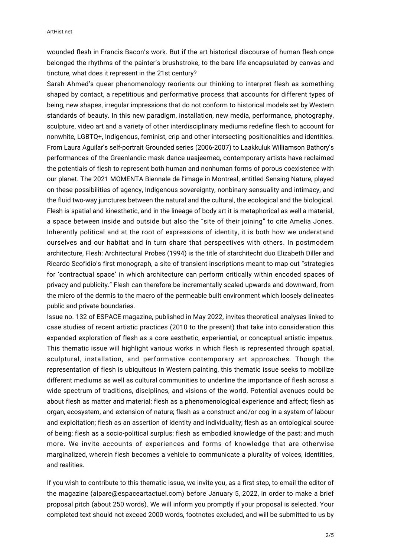wounded flesh in Francis Bacon's work. But if the art historical discourse of human flesh once belonged the rhythms of the painter's brushstroke, to the bare life encapsulated by canvas and tincture, what does it represent in the 21st century?

Sarah Ahmed's queer phenomenology reorients our thinking to interpret flesh as something shaped by contact, a repetitious and performative process that accounts for different types of being, new shapes, irregular impressions that do not conform to historical models set by Western standards of beauty. In this new paradigm, installation, new media, performance, photography, sculpture, video art and a variety of other interdisciplinary mediums redefine flesh to account for nonwhite, LGBTQ+, Indigenous, feminist, crip and other intersecting positionalities and identities. From Laura Aguilar's self-portrait Grounded series (2006-2007) to Laakkuluk Williamson Bathory's performances of the Greenlandic mask dance uaajeerneq, contemporary artists have reclaimed the potentials of flesh to represent both human and nonhuman forms of porous coexistence with our planet. The 2021 MOMENTA Biennale de l'image in Montreal, entitled Sensing Nature, played on these possibilities of agency, Indigenous sovereignty, nonbinary sensuality and intimacy, and the fluid two-way junctures between the natural and the cultural, the ecological and the biological. Flesh is spatial and kinesthetic, and in the lineage of body art it is metaphorical as well a material, a space between inside and outside but also the "site of their joining" to cite Amelia Jones. Inherently political and at the root of expressions of identity, it is both how we understand ourselves and our habitat and in turn share that perspectives with others. In postmodern architecture, Flesh: Architectural Probes (1994) is the title of starchitecht duo Elizabeth Diller and Ricardo Scofidio's first monograph, a site of transient inscriptions meant to map out "strategies for 'contractual space' in which architecture can perform critically within encoded spaces of privacy and publicity." Flesh can therefore be incrementally scaled upwards and downward, from the micro of the dermis to the macro of the permeable built environment which loosely delineates public and private boundaries.

Issue no. 132 of ESPACE magazine, published in May 2022, invites theoretical analyses linked to case studies of recent artistic practices (2010 to the present) that take into consideration this expanded exploration of flesh as a core aesthetic, experiential, or conceptual artistic impetus. This thematic issue will highlight various works in which flesh is represented through spatial, sculptural, installation, and performative contemporary art approaches. Though the representation of flesh is ubiquitous in Western painting, this thematic issue seeks to mobilize different mediums as well as cultural communities to underline the importance of flesh across a wide spectrum of traditions, disciplines, and visions of the world. Potential avenues could be about flesh as matter and material; flesh as a phenomenological experience and affect; flesh as organ, ecosystem, and extension of nature; flesh as a construct and/or cog in a system of labour and exploitation; flesh as an assertion of identity and individuality; flesh as an ontological source of being; flesh as a socio-political surplus; flesh as embodied knowledge of the past; and much more. We invite accounts of experiences and forms of knowledge that are otherwise marginalized, wherein flesh becomes a vehicle to communicate a plurality of voices, identities, and realities.

If you wish to contribute to this thematic issue, we invite you, as a first step, to email the editor of the magazine (alpare@espaceartactuel.com) before January 5, 2022, in order to make a brief proposal pitch (about 250 words). We will inform you promptly if your proposal is selected. Your completed text should not exceed 2000 words, footnotes excluded, and will be submitted to us by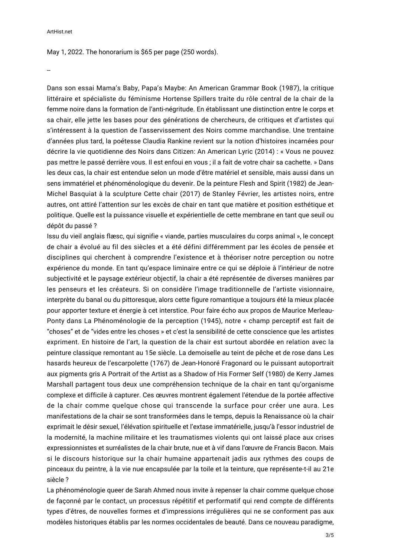May 1, 2022. The honorarium is \$65 per page (250 words).

--

Dans son essai Mama's Baby, Papa's Maybe: An American Grammar Book (1987), la critique littéraire et spécialiste du féminisme Hortense Spillers traite du rôle central de la chair de la femme noire dans la formation de l'anti-négritude. En établissant une distinction entre le corps et sa chair, elle jette les bases pour des générations de chercheurs, de critiques et d'artistes qui s'intéressent à la question de l'asservissement des Noirs comme marchandise. Une trentaine d'années plus tard, la poétesse Claudia Rankine revient sur la notion d'histoires incarnées pour décrire la vie quotidienne des Noirs dans Citizen: An American Lyric (2014) : « Vous ne pouvez pas mettre le passé derrière vous. Il est enfoui en vous ; il a fait de votre chair sa cachette. » Dans les deux cas, la chair est entendue selon un mode d'être matériel et sensible, mais aussi dans un sens immatériel et phénoménologique du devenir. De la peinture Flesh and Spirit (1982) de Jean-Michel Basquiat à la sculpture Cette chair (2017) de Stanley Février, les artistes noirs, entre autres, ont attiré l'attention sur les excès de chair en tant que matière et position esthétique et politique. Quelle est la puissance visuelle et expérientielle de cette membrane en tant que seuil ou dépôt du passé ?

Issu du vieil anglais flæsc, qui signifie « viande, parties musculaires du corps animal », le concept de chair a évolué au fil des siècles et a été défini différemment par les écoles de pensée et disciplines qui cherchent à comprendre l'existence et à théoriser notre perception ou notre expérience du monde. En tant qu'espace liminaire entre ce qui se déploie à l'intérieur de notre subjectivité et le paysage extérieur objectif, la chair a été représentée de diverses manières par les penseurs et les créateurs. Si on considère l'image traditionnelle de l'artiste visionnaire, interprète du banal ou du pittoresque, alors cette figure romantique a toujours été la mieux placée pour apporter texture et énergie à cet interstice. Pour faire écho aux propos de Maurice Merleau-Ponty dans La Phénoménologie de la perception (1945), notre « champ perceptif est fait de "choses" et de "vides entre les choses » et c'est la sensibilité de cette conscience que les artistes expriment. En histoire de l'art, la question de la chair est surtout abordée en relation avec la peinture classique remontant au 15e siècle. La demoiselle au teint de pêche et de rose dans Les hasards heureux de l'escarpolette (1767) de Jean-Honoré Fragonard ou le puissant autoportrait aux pigments gris A Portrait of the Artist as a Shadow of His Former Self (1980) de Kerry James Marshall partagent tous deux une compréhension technique de la chair en tant qu'organisme complexe et difficile à capturer. Ces œuvres montrent également l'étendue de la portée affective de la chair comme quelque chose qui transcende la surface pour créer une aura. Les manifestations de la chair se sont transformées dans le temps, depuis la Renaissance où la chair exprimait le désir sexuel, l'élévation spirituelle et l'extase immatérielle, jusqu'à l'essor industriel de la modernité, la machine militaire et les traumatismes violents qui ont laissé place aux crises expressionnistes et surréalistes de la chair brute, nue et à vif dans l'œuvre de Francis Bacon. Mais si le discours historique sur la chair humaine appartenait jadis aux rythmes des coups de pinceaux du peintre, à la vie nue encapsulée par la toile et la teinture, que représente-t-il au 21e siècle ?

La phénoménologie queer de Sarah Ahmed nous invite à repenser la chair comme quelque chose de façonné par le contact, un processus répétitif et performatif qui rend compte de différents types d'êtres, de nouvelles formes et d'impressions irrégulières qui ne se conforment pas aux modèles historiques établis par les normes occidentales de beauté. Dans ce nouveau paradigme,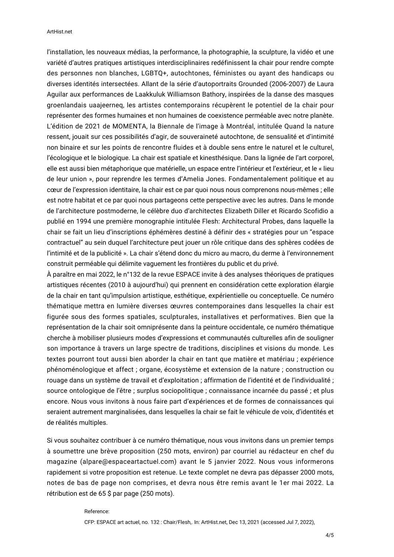l'installation, les nouveaux médias, la performance, la photographie, la sculpture, la vidéo et une variété d'autres pratiques artistiques interdisciplinaires redéfinissent la chair pour rendre compte des personnes non blanches, LGBTQ+, autochtones, féministes ou ayant des handicaps ou diverses identités intersectées. Allant de la série d'autoportraits Grounded (2006-2007) de Laura Aguilar aux performances de Laakkuluk Williamson Bathory, inspirées de la danse des masques groenlandais uaajeerneq, les artistes contemporains récupèrent le potentiel de la chair pour représenter des formes humaines et non humaines de coexistence perméable avec notre planète. L'édition de 2021 de MOMENTA, la Biennale de l'image à Montréal, intitulée Quand la nature ressent, jouait sur ces possibilités d'agir, de souveraineté autochtone, de sensualité et d'intimité non binaire et sur les points de rencontre fluides et à double sens entre le naturel et le culturel, l'écologique et le biologique. La chair est spatiale et kinesthésique. Dans la lignée de l'art corporel, elle est aussi bien métaphorique que matérielle, un espace entre l'intérieur et l'extérieur, et le « lieu de leur union », pour reprendre les termes d'Amelia Jones. Fondamentalement politique et au cœur de l'expression identitaire, la chair est ce par quoi nous nous comprenons nous-mêmes ; elle est notre habitat et ce par quoi nous partageons cette perspective avec les autres. Dans le monde de l'architecture postmoderne, le célèbre duo d'architectes Elizabeth Diller et Ricardo Scofidio a publié en 1994 une première monographie intitulée Flesh: Architectural Probes, dans laquelle la chair se fait un lieu d'inscriptions éphémères destiné à définir des « stratégies pour un "espace contractuel" au sein duquel l'architecture peut jouer un rôle critique dans des sphères codées de l'intimité et de la publicité ». La chair s'étend donc du micro au macro, du derme à l'environnement construit perméable qui délimite vaguement les frontières du public et du privé.

À paraître en mai 2022, le n°132 de la revue ESPACE invite à des analyses théoriques de pratiques artistiques récentes (2010 à aujourd'hui) qui prennent en considération cette exploration élargie de la chair en tant qu'impulsion artistique, esthétique, expérientielle ou conceptuelle. Ce numéro thématique mettra en lumière diverses œuvres contemporaines dans lesquelles la chair est figurée sous des formes spatiales, sculpturales, installatives et performatives. Bien que la représentation de la chair soit omniprésente dans la peinture occidentale, ce numéro thématique cherche à mobiliser plusieurs modes d'expressions et communautés culturelles afin de souligner son importance à travers un large spectre de traditions, disciplines et visions du monde. Les textes pourront tout aussi bien aborder la chair en tant que matière et matériau ; expérience phénoménologique et affect ; organe, écosystème et extension de la nature ; construction ou rouage dans un système de travail et d'exploitation ; affirmation de l'identité et de l'individualité ; source ontologique de l'être ; surplus sociopolitique ; connaissance incarnée du passé ; et plus encore. Nous vous invitons à nous faire part d'expériences et de formes de connaissances qui seraient autrement marginalisées, dans lesquelles la chair se fait le véhicule de voix, d'identités et de réalités multiples.

Si vous souhaitez contribuer à ce numéro thématique, nous vous invitons dans un premier temps à soumettre une brève proposition (250 mots, environ) par courriel au rédacteur en chef du magazine (alpare@espaceartactuel.com) avant le 5 janvier 2022. Nous vous informerons rapidement si votre proposition est retenue. Le texte complet ne devra pas dépasser 2000 mots, notes de bas de page non comprises, et devra nous être remis avant le 1er mai 2022. La rétribution est de 65 \$ par page (250 mots).

## Reference:

CFP: ESPACE art actuel, no. 132 : Chair/Flesh,. In: ArtHist.net, Dec 13, 2021 (accessed Jul 7, 2022),